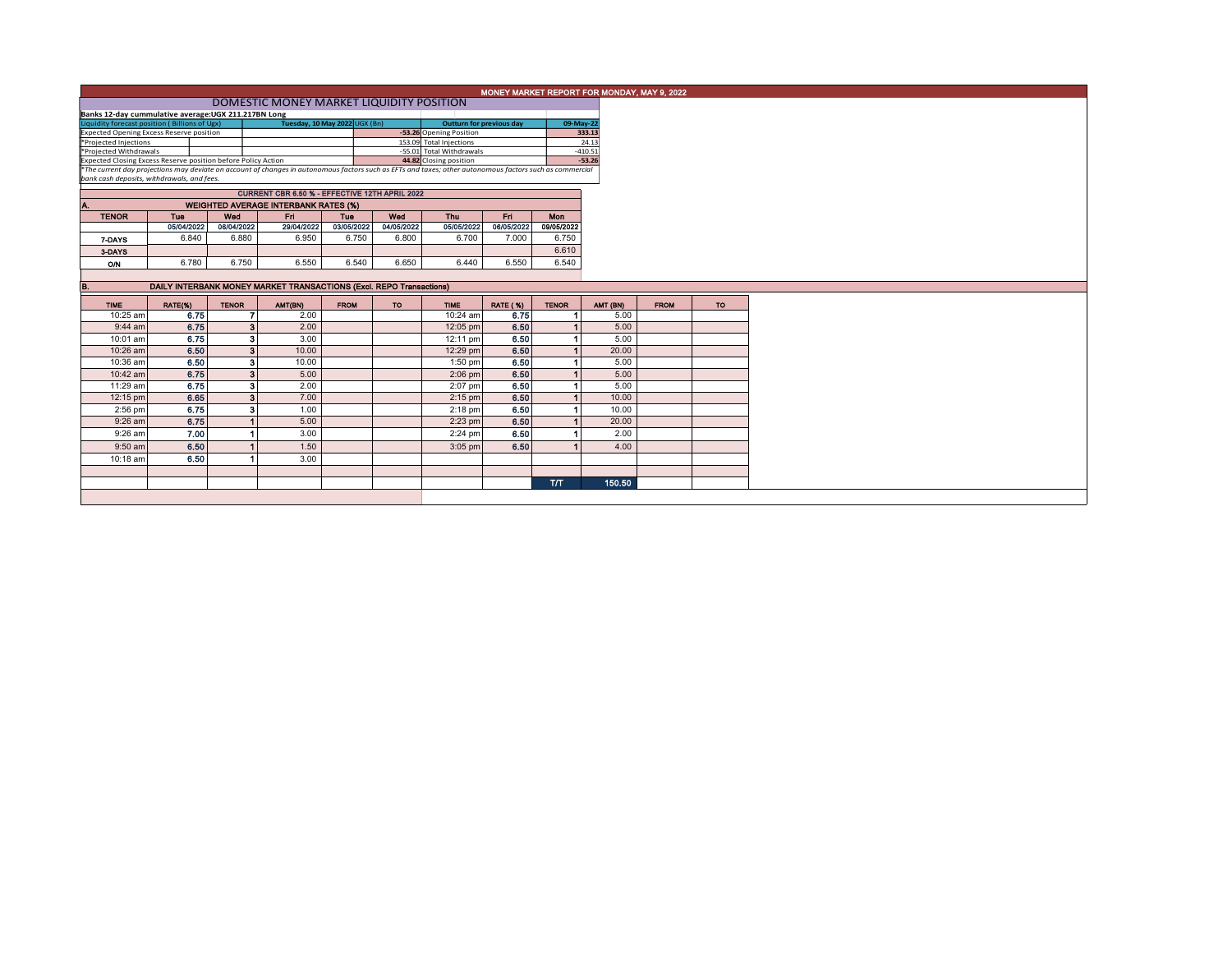| MONEY MARKET REPORT FOR MONDAY, MAY 9, 2022 |  |
|---------------------------------------------|--|
|                                             |  |

| DOMESTIC MONEY MARKET LIQUIDITY POSITION                                                                                                                 |                               |  |                                 |           |  |  |  |  |  |  |  |  |
|----------------------------------------------------------------------------------------------------------------------------------------------------------|-------------------------------|--|---------------------------------|-----------|--|--|--|--|--|--|--|--|
| Banks 12-day cummulative average: UGX 211.217BN Long                                                                                                     |                               |  |                                 |           |  |  |  |  |  |  |  |  |
| Liquidity forecast position (Billions of Ugx)                                                                                                            | Tuesday, 10 May 2022 UGX (Bn) |  | <b>Outturn for previous day</b> | 09-May-22 |  |  |  |  |  |  |  |  |
| <b>Expected Opening Excess Reserve position</b>                                                                                                          |                               |  | -53.26 Opening Position         | 333.13    |  |  |  |  |  |  |  |  |
| *Projected Injections                                                                                                                                    |                               |  | 153.09 Total Injections         | 24.13     |  |  |  |  |  |  |  |  |
| *Projected Withdrawals                                                                                                                                   |                               |  | -55.01 Total Withdrawals        | $-410.51$ |  |  |  |  |  |  |  |  |
| Expected Closing Excess Reserve position before Policy Action                                                                                            |                               |  | 44.82 Closing position          | $-53.26$  |  |  |  |  |  |  |  |  |
| *The current day projections may deviate on account of changes in autonomous factors such as EFTs and taxes; other autonomous factors such as commercial |                               |  |                                 |           |  |  |  |  |  |  |  |  |
|                                                                                                                                                          |                               |  |                                 |           |  |  |  |  |  |  |  |  |

*bank cash deposits, withdrawals, and fees.*

| <b>CURRENT CBR 6.50 % - EFFECTIVE 12TH APRIL 2022</b> |                                             |            |            |            |            |            |            |            |  |  |  |  |  |  |  |
|-------------------------------------------------------|---------------------------------------------|------------|------------|------------|------------|------------|------------|------------|--|--|--|--|--|--|--|
| A.                                                    | <b>WEIGHTED AVERAGE INTERBANK RATES (%)</b> |            |            |            |            |            |            |            |  |  |  |  |  |  |  |
| <b>TENOR</b>                                          | Tue                                         | Wed        | Fri        | Tue        | Wed        | <b>Thu</b> | Fri        | Mon        |  |  |  |  |  |  |  |
|                                                       | 05/04/2022                                  | 06/04/2022 | 29/04/2022 | 03/05/2022 | 04/05/2022 | 05/05/2022 | 06/05/2022 | 09/05/2022 |  |  |  |  |  |  |  |
| 7-DAYS                                                | 6.840                                       | 6.880      | 6.950      | 6.750      | 6.800      | 6.700      | 7.000      | 6.750      |  |  |  |  |  |  |  |
| 3-DAYS                                                |                                             |            |            |            |            |            |            | 6.610      |  |  |  |  |  |  |  |
| ON                                                    | 6.780                                       | 6.750      | 6.550      | 6.540      | 6.650      | 6.440      | 6.550      | 6.540      |  |  |  |  |  |  |  |
|                                                       |                                             |            |            |            |            |            |            |            |  |  |  |  |  |  |  |

| В.          | DAILY INTERBANK MONEY MARKET TRANSACTIONS (Excl. REPO Transactions) |                |         |             |           |             |                 |              |          |             |           |  |  |
|-------------|---------------------------------------------------------------------|----------------|---------|-------------|-----------|-------------|-----------------|--------------|----------|-------------|-----------|--|--|
| <b>TIME</b> | RATE(%)                                                             | <b>TENOR</b>   | AMT(BN) | <b>FROM</b> | <b>TO</b> | <b>TIME</b> | <b>RATE (%)</b> | <b>TENOR</b> | AMT (BN) | <b>FROM</b> | <b>TO</b> |  |  |
| 10:25 am    | 6.75                                                                |                | 2.00    |             |           | 10:24 am    | 6.75            |              | 5.00     |             |           |  |  |
| $9:44$ am   | 6.75                                                                | 3 <sup>1</sup> | 2.00    |             |           | 12:05 pm    | 6.50            |              | 5.00     |             |           |  |  |
| 10:01 am    | 6.75                                                                | 31             | 3.00    |             |           | 12:11 pm    | 6.50            |              | 5.00     |             |           |  |  |
| $10:26$ am  | 6.50                                                                | 3 <sup>1</sup> | 10.00   |             |           | 12:29 pm    | 6.50            |              | 20.00    |             |           |  |  |
| 10:36 am    | 6.50                                                                | з۱             | 10.00   |             |           | $1:50$ pm   | 6.50            |              | 5.00     |             |           |  |  |
| $10:42$ am  | 6.75                                                                | 3 <sup>1</sup> | 5.00    |             |           | $2:06$ pm   | 6.50            |              | 5.00     |             |           |  |  |
| 11:29 am    | 6.75                                                                | 31             | 2.00    |             |           | $2:07$ pm   | 6.50            |              | 5.00     |             |           |  |  |
| 12:15 pm    | 6.65                                                                | 3 <sup>1</sup> | 7.00    |             |           | $2:15$ pm   | 6.50            |              | 10.00    |             |           |  |  |
| $2:56$ pm   | 6.75                                                                | з              | 1.00    |             |           | $2:18$ pm   | 6.50            |              | 10.00    |             |           |  |  |
| $9:26$ am   | 6.75                                                                |                | 5.00    |             |           | $2:23$ pm   | 6.50            |              | 20.00    |             |           |  |  |
| 9:26 am     | 7.00                                                                |                | 3.00    |             |           | $2:24$ pm   | 6.50            |              | 2.00     |             |           |  |  |
| $9:50$ am   | 6.50                                                                |                | 1.50    |             |           | $3:05$ pm   | 6.50            |              | 4.00     |             |           |  |  |
| 10:18 am    | 6.50                                                                |                | 3.00    |             |           |             |                 |              |          |             |           |  |  |
|             |                                                                     |                |         |             |           |             |                 |              |          |             |           |  |  |
|             |                                                                     |                |         |             |           |             |                 | T/T          | 150.50   |             |           |  |  |
|             |                                                                     |                |         |             |           |             |                 |              |          |             |           |  |  |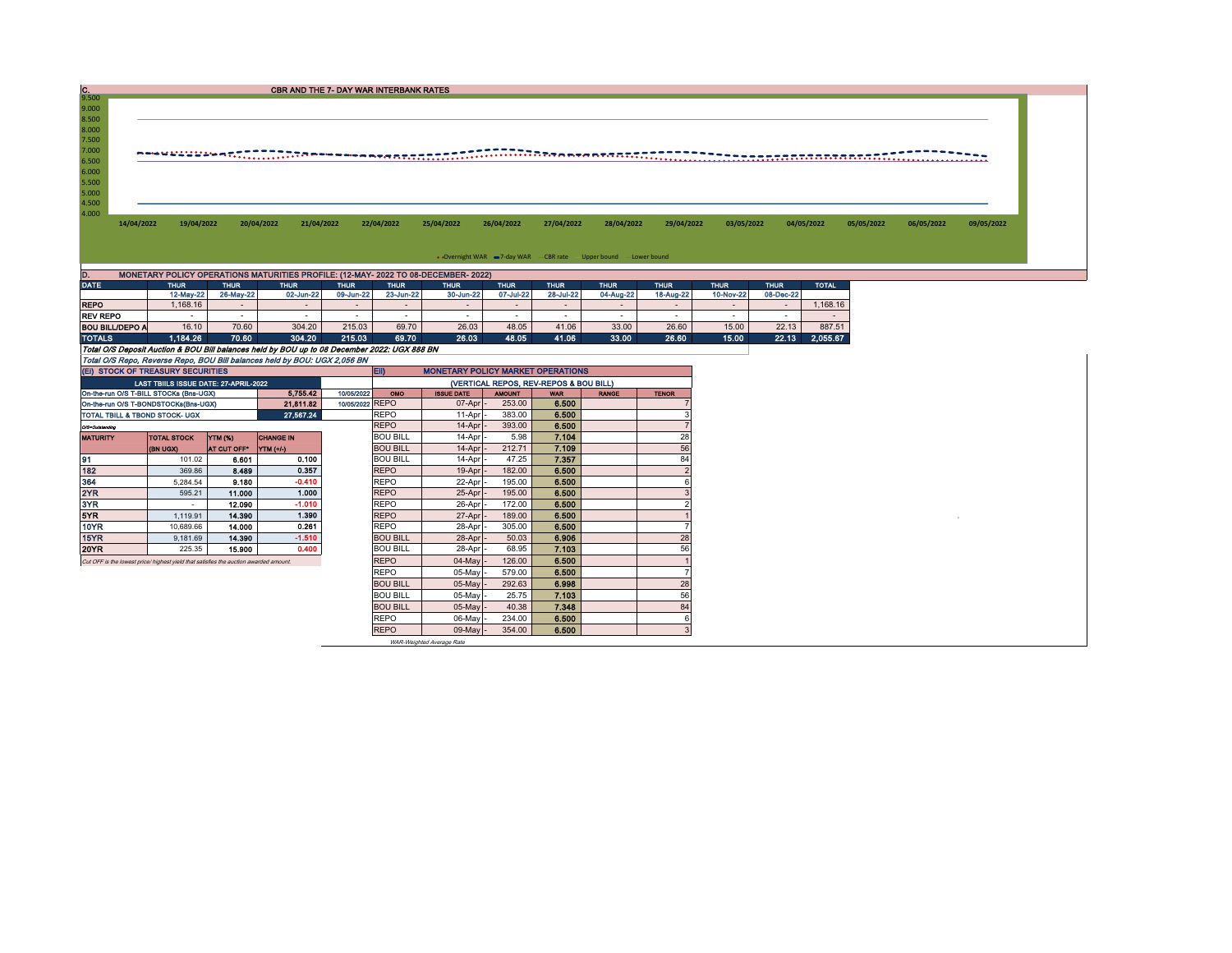| $\frac{C}{9.500}$      |                                                                                       |                          | CBR AND THE 7- DAY WAR INTERBANK RATES                                                                         |                          |                            |                                          |                          |                                        |                                                                    |                          |                          |                                          |            |            |            |
|------------------------|---------------------------------------------------------------------------------------|--------------------------|----------------------------------------------------------------------------------------------------------------|--------------------------|----------------------------|------------------------------------------|--------------------------|----------------------------------------|--------------------------------------------------------------------|--------------------------|--------------------------|------------------------------------------|------------|------------|------------|
| 9.000                  |                                                                                       |                          |                                                                                                                |                          |                            |                                          |                          |                                        |                                                                    |                          |                          |                                          |            |            |            |
| 8.500                  |                                                                                       |                          |                                                                                                                |                          |                            |                                          |                          |                                        |                                                                    |                          |                          |                                          |            |            |            |
| 8.000                  |                                                                                       |                          |                                                                                                                |                          |                            |                                          |                          |                                        |                                                                    |                          |                          |                                          |            |            |            |
| 7.500                  |                                                                                       |                          |                                                                                                                |                          |                            |                                          |                          |                                        |                                                                    |                          |                          |                                          |            |            |            |
| 7.000                  |                                                                                       |                          |                                                                                                                |                          |                            |                                          |                          |                                        |                                                                    |                          |                          |                                          |            |            |            |
| 6.500                  |                                                                                       |                          | now WAN NAN HER TITTET TO THE MONDOLER ARRESTS TO THE HISTORICAL CONTRACT TO THE TITTET TO THE TITTET TO THE T |                          |                            |                                          |                          |                                        |                                                                    |                          |                          |                                          |            |            |            |
| 6.000                  |                                                                                       |                          |                                                                                                                |                          |                            |                                          |                          |                                        |                                                                    |                          |                          |                                          |            |            |            |
| 5.500                  |                                                                                       |                          |                                                                                                                |                          |                            |                                          |                          |                                        |                                                                    |                          |                          |                                          |            |            |            |
| 5.000                  |                                                                                       |                          |                                                                                                                |                          |                            |                                          |                          |                                        |                                                                    |                          |                          |                                          |            |            |            |
| 4.500                  |                                                                                       |                          |                                                                                                                |                          |                            |                                          |                          |                                        |                                                                    |                          |                          |                                          |            |            |            |
| 4.000<br>14/04/2022    | 19/04/2022                                                                            |                          | 21/04/2022<br>20/04/2022                                                                                       |                          | 22/04/2022                 | 25/04/2022                               | 26/04/2022               | 27/04/2022                             | 28/04/2022                                                         | 29/04/2022               | 03/05/2022               | 04/05/2022                               | 05/05/2022 | 06/05/2022 | 09/05/2022 |
|                        |                                                                                       |                          |                                                                                                                |                          |                            |                                          |                          |                                        |                                                                    |                          |                          |                                          |            |            |            |
|                        |                                                                                       |                          |                                                                                                                |                          |                            |                                          |                          |                                        |                                                                    |                          |                          |                                          |            |            |            |
|                        |                                                                                       |                          |                                                                                                                |                          |                            |                                          |                          |                                        | • Overnight WAR = 7-day WAR - CBR rate - Upper bound - Lower bound |                          |                          |                                          |            |            |            |
|                        |                                                                                       |                          |                                                                                                                |                          |                            |                                          |                          |                                        |                                                                    |                          |                          |                                          |            |            |            |
| D.                     |                                                                                       |                          | MONETARY POLICY OPERATIONS MATURITIES PROFILE: (12-MAY- 2022 TO 08-DECEMBER- 2022)                             |                          |                            |                                          |                          |                                        |                                                                    |                          |                          |                                          |            |            |            |
| <b>DATE</b>            | <b>THUR</b><br>12-May-22                                                              | <b>THUR</b><br>26-May-22 | <b>THUR</b><br>02-Jun-22                                                                                       | <b>THUR</b><br>09-Jun-22 | <b>THUR</b><br>23-Jun-22   | <b>THUR</b><br>30-Jun-22                 | <b>THUR</b><br>07-Jul-22 | <b>THUR</b><br>28-Jul-22               | <b>THUR</b><br>04-Aug-22                                           | <b>THUR</b><br>18-Aug-22 | <b>THUR</b><br>10-Nov-22 | <b>THUR</b><br><b>TOTAL</b><br>08-Dec-22 |            |            |            |
| <b>REPO</b>            | 1,168.16                                                                              | $\sim$                   | $\sim$                                                                                                         | $\sim$                   | $\sim$                     | $\sim$                                   | $\sim$                   | $\sim$                                 | $\sim$                                                             | $\sim$                   | $\sim$                   | 1,168.16<br>$\sim$                       |            |            |            |
| <b>REV REPO</b>        | $\sim$                                                                                | $\sim$                   | $\sim$                                                                                                         | $\sim$                   | $\sim$                     | $\sim$                                   | $\sim$                   | $\sim$                                 | $\sim$                                                             | $\sim$                   | $\sim$                   | $\sim$<br>$\sim$                         |            |            |            |
| <b>BOU BILL/DEPO A</b> | 16.10                                                                                 | 70.60                    | 304.20                                                                                                         | 215.03                   | 69.70                      | 26.03                                    | 48.05                    | 41.06                                  | 33.00                                                              | 26.60                    | 15.00                    | 22.13<br>887.51                          |            |            |            |
| <b>TOTALS</b>          | 1.184.26                                                                              | 70.60                    | 304.20                                                                                                         | 215.03                   | 69.70                      | 26.03                                    | 48.05                    | 41.06                                  | 33.00                                                              | 26.60                    | 15.00                    | 2,055.67<br>22.13                        |            |            |            |
|                        |                                                                                       |                          | Total O/S Deposit Auction & BOU Bill balances held by BOU up to 08 December 2022: UGX 888 BN                   |                          |                            |                                          |                          |                                        |                                                                    |                          |                          |                                          |            |            |            |
|                        |                                                                                       |                          | Total O/S Repo, Reverse Repo, BOU Bill balances held by BOU: UGX 2,056 BN                                      |                          |                            |                                          |                          |                                        |                                                                    |                          |                          |                                          |            |            |            |
|                        | (EI) STOCK OF TREASURY SECURITIES                                                     |                          |                                                                                                                |                          | EII)                       | <b>MONETARY POLICY MARKET OPERATIONS</b> |                          |                                        |                                                                    |                          |                          |                                          |            |            |            |
|                        | LAST TBIILS ISSUE DATE: 27-APRIL-2022                                                 |                          |                                                                                                                |                          |                            |                                          |                          | (VERTICAL REPOS, REV-REPOS & BOU BILL) |                                                                    |                          |                          |                                          |            |            |            |
|                        | On-the-run O/S T-BILL STOCKs (Bns-UGX)                                                |                          | 5,755.42                                                                                                       | 10/05/2022               | OMO                        | <b>ISSUE DATE</b>                        | THUOWA                   | <b>WAR</b>                             | <b>RANGE</b>                                                       | <b>TENOR</b>             |                          |                                          |            |            |            |
|                        | On-the-run O/S T-BONDSTOCKs(Bns-UGX)                                                  |                          | 21,811.82                                                                                                      | 10/05/2022 REPO          |                            | 07-Apr                                   | 253.00                   | 6.500                                  |                                                                    | 7                        |                          |                                          |            |            |            |
|                        | TOTAL TBILL & TBOND STOCK- UGX                                                        |                          | 27,567.24                                                                                                      |                          | REPO                       | 11-Apr                                   | 383.00                   | 6.500                                  |                                                                    | p                        |                          |                                          |            |            |            |
| O/S-Outstanding        |                                                                                       |                          |                                                                                                                |                          | <b>REPO</b>                | 14-Apr                                   | 393.00                   | 6.500                                  |                                                                    | $\overline{7}$           |                          |                                          |            |            |            |
| <b>MATURITY</b>        | <b>TOTAL STOCK</b>                                                                    | YTM (%)                  | <b>CHANGE IN</b>                                                                                               |                          | <b>BOU BILL</b>            | 14-Apr                                   | 5.98                     | 7.104                                  |                                                                    | 28                       |                          |                                          |            |            |            |
|                        | (BN UGX)                                                                              | AT CUT OFF*              | YTM (+/-)                                                                                                      |                          | <b>BOU BILL</b>            | 14-Apr                                   | 212.71                   | 7.109                                  |                                                                    | 56                       |                          |                                          |            |            |            |
| 91                     | 101.02                                                                                | 6.601                    | 0.100                                                                                                          |                          | <b>BOU BILL</b>            | 14-Apr                                   | 47.25                    | 7.357                                  |                                                                    | 84                       |                          |                                          |            |            |            |
| 182                    | 369.86                                                                                | 8.489                    | 0.357                                                                                                          |                          | <b>REPO</b>                | 19-Apr                                   | 182.00                   | 6.500                                  |                                                                    | $\overline{\phantom{0}}$ |                          |                                          |            |            |            |
| 364<br>2YR             | 5,284.54                                                                              | 9.180                    | $-0.410$<br>1.000                                                                                              |                          | <b>REPO</b>                | 22-Apr                                   | 195.00                   | 6.500                                  |                                                                    | 6<br>$\mathbf{3}$        |                          |                                          |            |            |            |
| 3YR                    | 595.21<br>$\sim$                                                                      | 11.000<br>12.090         | $-1.010$                                                                                                       |                          | <b>REPO</b><br><b>REPO</b> | 25-Apr<br>26-Apr                         | 195.00<br>172.00         | 6.500<br>6.500                         |                                                                    | $\overline{\phantom{0}}$ |                          |                                          |            |            |            |
| 5YR                    | 1.119.91                                                                              | 14,390                   | 1.390                                                                                                          |                          | <b>REPO</b>                | 27-Apr                                   | 189.00                   | 6.500                                  |                                                                    |                          |                          |                                          |            |            |            |
| <b>10YR</b>            | 10.689.66                                                                             | 14.000                   | 0.261                                                                                                          |                          | <b>REPO</b>                | 28-Apr                                   | 305.00                   | 6.500                                  |                                                                    |                          |                          |                                          |            |            |            |
| 15YR                   | 9.181.69                                                                              | 14.390                   | $-1.510$                                                                                                       |                          | <b>BOU BILL</b>            | 28-Apr                                   | 50.03                    | 6.906                                  |                                                                    | 28                       |                          |                                          |            |            |            |
| 20YR                   | 225.35                                                                                | 15.900                   | 0.400                                                                                                          |                          | <b>BOU BILL</b>            | 28-Apr                                   | 68.95                    | 7.103                                  |                                                                    | 56                       |                          |                                          |            |            |            |
|                        | Cut OFF is the lowest price/ highest yield that satisfies the auction awarded amount. |                          |                                                                                                                |                          | <b>REPO</b>                | 04-May                                   | 126.00                   | 6.500                                  |                                                                    |                          |                          |                                          |            |            |            |
|                        |                                                                                       |                          |                                                                                                                |                          | <b>REPO</b>                | 05-May                                   | 579.00                   | 6.500                                  |                                                                    | 7                        |                          |                                          |            |            |            |
|                        |                                                                                       |                          |                                                                                                                |                          | <b>BOU BILL</b>            | 05-May                                   | 292.63                   | 6.998                                  |                                                                    | 28                       |                          |                                          |            |            |            |
|                        |                                                                                       |                          |                                                                                                                |                          | <b>BOU BILL</b>            | 05-May                                   | 25.75                    | 7.103                                  |                                                                    | 56                       |                          |                                          |            |            |            |
|                        |                                                                                       |                          |                                                                                                                |                          | <b>BOU BILL</b>            | 05-May                                   | 40.38                    | 7.348                                  |                                                                    | 84                       |                          |                                          |            |            |            |
|                        |                                                                                       |                          |                                                                                                                |                          | <b>REPO</b>                | 06-May                                   | 234.00                   | 6.500                                  |                                                                    | 6                        |                          |                                          |            |            |            |
|                        |                                                                                       |                          |                                                                                                                |                          | <b>REPO</b>                | 09-May                                   | 354.00                   | 6.500                                  |                                                                    | $\mathbf{3}$             |                          |                                          |            |            |            |
|                        |                                                                                       |                          |                                                                                                                |                          |                            |                                          |                          |                                        |                                                                    |                          |                          |                                          |            |            |            |

WAR-Weighted Average Rate